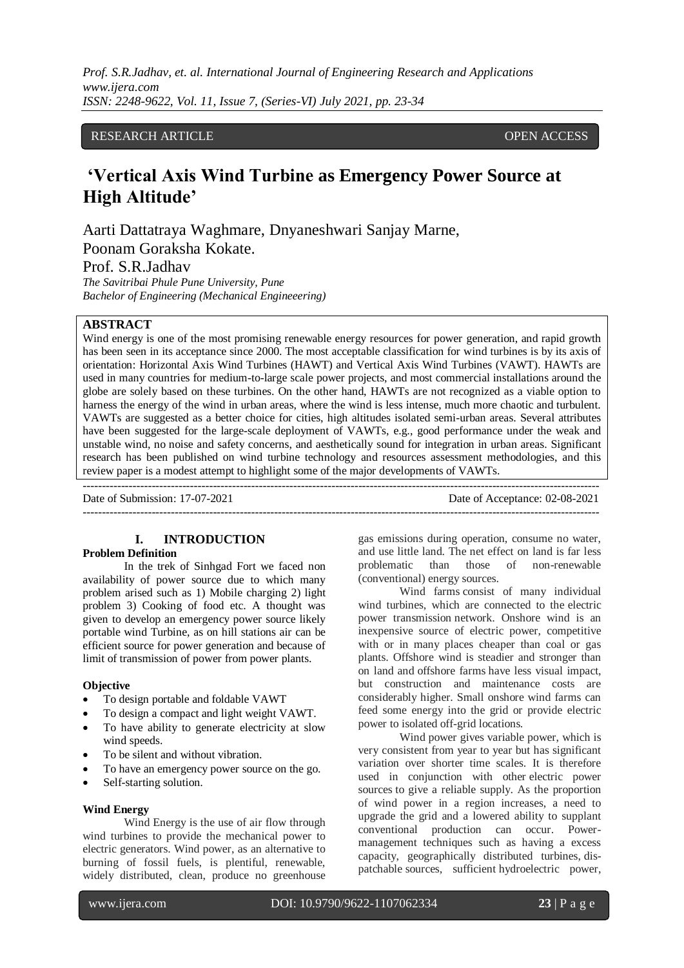## RESEARCH ARTICLE **CONSERVERS** OPEN ACCESS

# **'Vertical Axis Wind Turbine as Emergency Power Source at High Altitude'**

Aarti Dattatraya Waghmare, Dnyaneshwari Sanjay Marne, Poonam Goraksha Kokate.

# Prof. S.R.Jadhav

*The Savitribai Phule Pune University, Pune Bachelor of Engineering (Mechanical Engineeering)*

## **ABSTRACT**

Wind energy is one of the most promising renewable energy resources for power generation, and rapid growth has been seen in its acceptance since 2000. The most acceptable classification for wind turbines is by its axis of orientation: Horizontal Axis Wind Turbines (HAWT) and Vertical Axis Wind Turbines (VAWT). HAWTs are used in many countries for medium-to-large scale power projects, and most commercial installations around the globe are solely based on these turbines. On the other hand, HAWTs are not recognized as a viable option to harness the energy of the wind in urban areas, where the wind is less intense, much more chaotic and turbulent. VAWTs are suggested as a better choice for cities, high altitudes isolated semi-urban areas. Several attributes have been suggested for the large-scale deployment of VAWTs, e.g., good performance under the weak and unstable wind, no noise and safety concerns, and aesthetically sound for integration in urban areas. Significant research has been published on wind turbine technology and resources assessment methodologies, and this review paper is a modest attempt to highlight some of the major developments of VAWTs. ---------------------------------------------------------------------------------------------------------------------------------------

---------------------------------------------------------------------------------------------------------------------------------------

Date of Submission: 17-07-2021 Date of Acceptance: 02-08-2021

## **I. INTRODUCTION**

#### **Problem Definition**

In the trek of Sinhgad Fort we faced non availability of power source due to which many problem arised such as 1) Mobile charging 2) light problem 3) Cooking of food etc. A thought was given to develop an emergency power source likely portable wind Turbine, as on hill stations air can be efficient source for power generation and because of limit of transmission of power from power plants.

#### **Objective**

- To design portable and foldable VAWT
- To design a compact and light weight VAWT.
- To have ability to generate electricity at slow wind speeds.
- To be silent and without vibration.
- To have an emergency power source on the go.
- Self-starting solution.

#### **Wind Energy**

Wind Energy is the use of air flow through wind turbines to provide the mechanical power to electric generators. Wind power, as an alternative to burning of fossil fuels, is plentiful, renewable, widely distributed, clean, produce no greenhouse gas emissions during operation, consume no water, and use little land. The net effect on land is far less problematic than those of non-renewable (conventional) energy sources.

Wind farms consist of many individual wind turbines, which are connected to the electric power transmission network. Onshore wind is an inexpensive source of electric power, competitive with or in many places cheaper than coal or gas plants. Offshore wind is steadier and stronger than on land and offshore farms have less visual impact, but construction and maintenance costs are considerably higher. Small onshore wind farms can feed some energy into the grid or provide electric power to isolated off-grid locations.

Wind power gives variable power, which is very consistent from year to year but has significant variation over shorter time scales. It is therefore used in conjunction with other electric power sources to give a reliable supply. As the proportion of wind power in a region increases, a need to upgrade the grid and a lowered ability to supplant conventional production can occur. Powermanagement techniques such as having a excess capacity, geographically distributed turbines, dispatchable sources, sufficient hydroelectric power,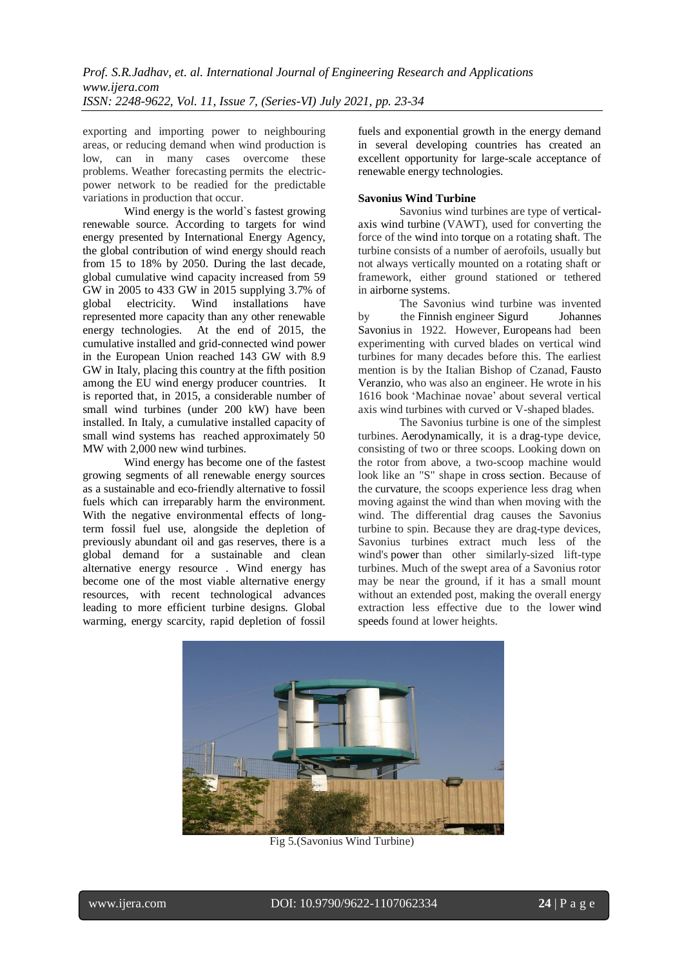exporting and importing power to neighbouring areas, or reducing demand when wind production is low, can in many cases overcome these problems. Weather forecasting permits the electricpower network to be readied for the predictable variations in production that occur.

Wind energy is the world`s fastest growing renewable source. According to targets for wind energy presented by International Energy Agency, the global contribution of wind energy should reach from 15 to 18% by 2050. During the last decade, global cumulative wind capacity increased from 59 GW in 2005 to 433 GW in 2015 supplying 3.7% of global electricity. Wind installations have represented more capacity than any other renewable energy technologies. At the end of 2015, the cumulative installed and grid-connected wind power in the European Union reached 143 GW with 8.9 GW in Italy, placing this country at the fifth position among the EU wind energy producer countries. It is reported that, in 2015, a considerable number of small wind turbines (under 200 kW) have been installed. In Italy, a cumulative installed capacity of small wind systems has reached approximately 50 MW with 2,000 new wind turbines.

Wind energy has become one of the fastest growing segments of all renewable energy sources as a sustainable and eco-friendly alternative to fossil fuels which can irreparably harm the environment. With the negative environmental effects of longterm fossil fuel use, alongside the depletion of previously abundant oil and gas reserves, there is a global demand for a sustainable and clean alternative energy resource . Wind energy has become one of the most viable alternative energy resources, with recent technological advances leading to more efficient turbine designs. Global warming, energy scarcity, rapid depletion of fossil

fuels and exponential growth in the energy demand in several developing countries has created an excellent opportunity for large-scale acceptance of renewable energy technologies.

## **Savonius Wind Turbine**

Savonius wind turbines are type of verticalaxis wind turbine (VAWT), used for converting the force of the wind into torque on a rotating shaft. The turbine consists of a number of aerofoils, usually but not always vertically mounted on a rotating shaft or framework, either ground stationed or tethered in airborne systems.

The Savonius wind turbine was invented by the Finnish engineer Sigurd Johannes Savonius in 1922. However, Europeans had been experimenting with curved blades on vertical wind turbines for many decades before this. The earliest mention is by the Italian Bishop of Czanad, Fausto Veranzio, who was also an engineer. He wrote in his 1616 book 'Machinae novae' about several vertical axis wind turbines with curved or V-shaped blades.

The Savonius turbine is one of the simplest turbines. Aerodynamically, it is a drag-type device, consisting of two or three scoops. Looking down on the rotor from above, a two-scoop machine would look like an "S" shape in cross section. Because of the curvature, the scoops experience less drag when moving against the wind than when moving with the wind. The differential drag causes the Savonius turbine to spin. Because they are drag-type devices, Savonius turbines extract much less of the wind's power than other similarly-sized lift-type turbines. Much of the swept area of a Savonius rotor may be near the ground, if it has a small mount without an extended post, making the overall energy extraction less effective due to the lower wind speeds found at lower heights.



Fig 5.(Savonius Wind Turbine)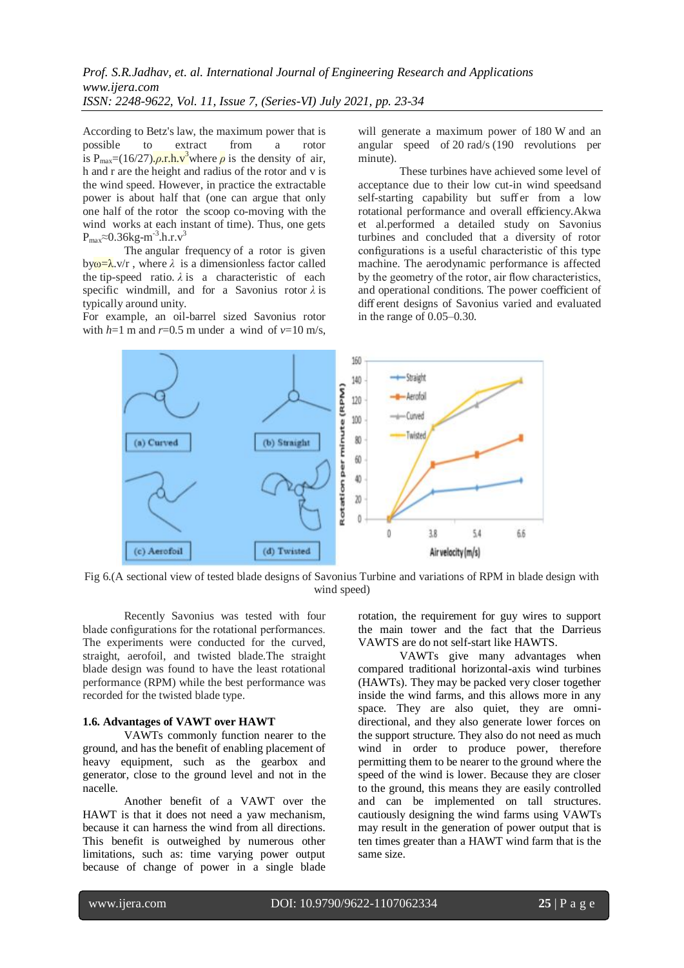According to Betz's law, the maximum power that is possible to extract from a rotor is  $P_{\text{max}} = (16/27) \cdot \rho \cdot r \cdot h \cdot v^3$  where  $\rho$  is the density of air, h and r are the height and radius of the rotor and v is the wind speed. However, in practice the extractable power is about half that (one can argue that only one half of the rotor the scoop co-moving with the wind works at each instant of time). Thus, one gets  $P_{max}$ ≈0.36kg-m<sup>-3</sup>.h.r.v<sup>3</sup>

The angular frequency of a rotor is given by $\omega = \lambda$ .v/r, where  $\lambda$  is a dimensionless factor called the tip-speed ratio.  $\lambda$  is a characteristic of each specific windmill, and for a Savonius rotor *λ* is typically around unity.

For example, an oil-barrel sized Savonius rotor with  $h=1$  m and  $r=0.5$  m under a wind of  $v=10$  m/s, will generate a maximum power of 180 W and an angular speed of 20 rad/s (190 revolutions per minute).

These turbines have achieved some level of acceptance due to their low cut-in wind speedsand self-starting capability but suffer from a low rotational performance and overall efficiency.Akwa et al.performed a detailed study on Savonius turbines and concluded that a diversity of rotor configurations is a useful characteristic of this type machine. The aerodynamic performance is affected by the geometry of the rotor, air flow characteristics, and operational conditions. The power coefficient of diff erent designs of Savonius varied and evaluated in the range of 0.05–0.30.



Fig 6.(A sectional view of tested blade designs of Savonius Turbine and variations of RPM in blade design with wind speed)

Recently Savonius was tested with four blade configurations for the rotational performances. The experiments were conducted for the curved, straight, aerofoil, and twisted blade.The straight blade design was found to have the least rotational performance (RPM) while the best performance was recorded for the twisted blade type.

## **1.6. Advantages of VAWT over HAWT**

VAWTs commonly function nearer to the ground, and has the benefit of enabling placement of heavy equipment, such as the gearbox and generator, close to the ground level and not in the nacelle.

Another benefit of a VAWT over the HAWT is that it does not need a yaw mechanism, because it can harness the wind from all directions. This benefit is outweighed by numerous other limitations, such as: time varying power output because of change of power in a single blade rotation, the requirement for guy wires to support the main tower and the fact that the Darrieus VAWTS are do not self-start like HAWTS.

VAWTs give many advantages when compared traditional horizontal-axis wind turbines (HAWTs). They may be packed very closer together inside the wind farms, and this allows more in any space. They are also quiet, they are omnidirectional, and they also generate lower forces on the support structure. They also do not need as much wind in order to produce power, therefore permitting them to be nearer to the ground where the speed of the wind is lower. Because they are closer to the ground, this means they are easily controlled and can be implemented on tall structures. cautiously designing the wind farms using VAWTs may result in the generation of power output that is ten times greater than a HAWT wind farm that is the same size.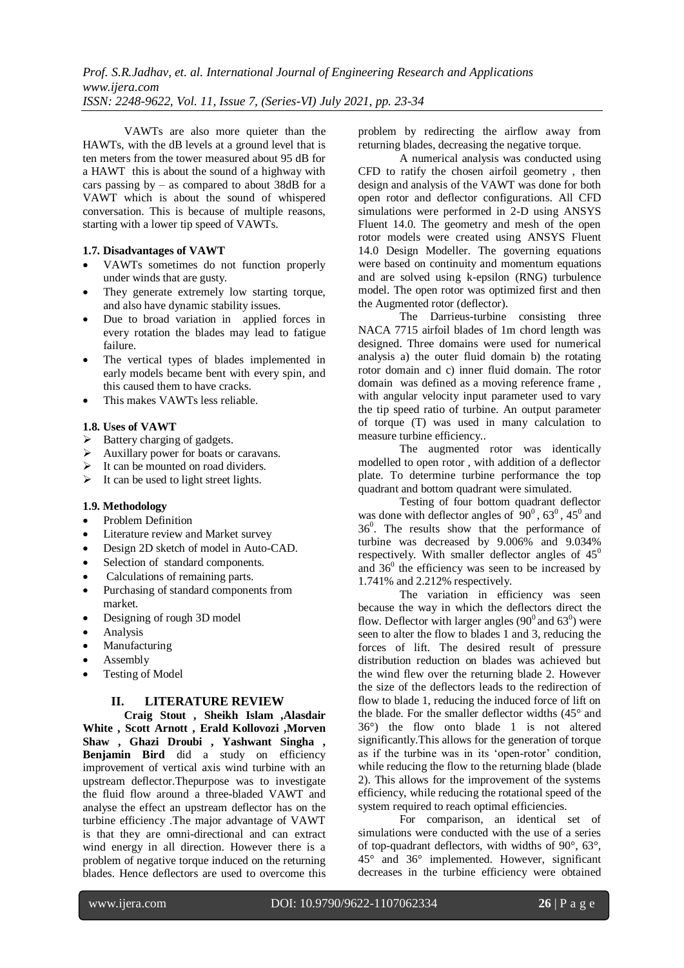VAWTs are also more quieter than the HAWTs, with the dB levels at a ground level that is ten meters from the tower measured about 95 dB for a HAWT this is about the sound of a highway with cars passing by – as compared to about  $\overline{38}$ dB for a VAWT which is about the sound of whispered conversation. This is because of multiple reasons, starting with a lower tip speed of VAWTs.

## **1.7. Disadvantages of VAWT**

- VAWTs sometimes do not function properly under winds that are gusty.
- They generate extremely low starting torque, and also have dynamic stability issues.
- Due to broad variation in applied forces in every rotation the blades may lead to fatigue failure.
- The vertical types of blades implemented in early models became bent with every spin, and this caused them to have cracks.
- This makes VAWTs less reliable.

#### **1.8. Uses of VAWT**

- $\triangleright$  Battery charging of gadgets.
- Auxillary power for boats or caravans.
- $\triangleright$  It can be mounted on road dividers.
- $\triangleright$  It can be used to light street lights.

## **1.9. Methodology**

- Problem Definition
- Literature review and Market survey
- Design 2D sketch of model in Auto-CAD.
- Selection of standard components.
- Calculations of remaining parts.
- Purchasing of standard components from market.
- Designing of rough 3D model
- Analysis
- Manufacturing
- Assembly
- Testing of Model

## **II. LITERATURE REVIEW**

**Craig Stout , Sheikh Islam ,Alasdair White , Scott Arnott , Erald Kollovozi ,Morven Shaw , Ghazi Droubi , Yashwant Singha , Benjamin Bird** did a study on efficiency improvement of vertical axis wind turbine with an upstream deflector.Thepurpose was to investigate the fluid flow around a three-bladed VAWT and analyse the effect an upstream deflector has on the turbine efficiency .The major advantage of VAWT is that they are omni-directional and can extract wind energy in all direction. However there is a problem of negative torque induced on the returning blades. Hence deflectors are used to overcome this

problem by redirecting the airflow away from returning blades, decreasing the negative torque.

A numerical analysis was conducted using CFD to ratify the chosen airfoil geometry , then design and analysis of the VAWT was done for both open rotor and deflector configurations. All CFD simulations were performed in 2-D using ANSYS Fluent 14.0. The geometry and mesh of the open rotor models were created using ANSYS Fluent 14.0 Design Modeller. The governing equations were based on continuity and momentum equations and are solved using k-epsilon (RNG) turbulence model. The open rotor was optimized first and then the Augmented rotor (deflector).

The Darrieus-turbine consisting three NACA 7715 airfoil blades of 1m chord length was designed. Three domains were used for numerical analysis a) the outer fluid domain b) the rotating rotor domain and c) inner fluid domain. The rotor domain was defined as a moving reference frame , with angular velocity input parameter used to vary the tip speed ratio of turbine. An output parameter of torque (T) was used in many calculation to measure turbine efficiency..

The augmented rotor was identically modelled to open rotor , with addition of a deflector plate. To determine turbine performance the top quadrant and bottom quadrant were simulated.

Testing of four bottom quadrant deflector was done with deflector angles of  $90^0$ ,  $63^0$ ,  $45^0$  and 36<sup>0</sup> . The results show that the performance of turbine was decreased by 9.006% and 9.034% respectively. With smaller deflector angles of  $45^0$ and  $36<sup>0</sup>$  the efficiency was seen to be increased by 1.741% and 2.212% respectively.

The variation in efficiency was seen because the way in which the deflectors direct the flow. Deflector with larger angles  $(90^0$  and  $63^0)$  were seen to alter the flow to blades 1 and 3, reducing the forces of lift. The desired result of pressure distribution reduction on blades was achieved but the wind flew over the returning blade 2. However the size of the deflectors leads to the redirection of flow to blade 1, reducing the induced force of lift on the blade. For the smaller deflector widths (45° and 36°) the flow onto blade 1 is not altered significantly.This allows for the generation of torque as if the turbine was in its 'open-rotor' condition, while reducing the flow to the returning blade (blade 2). This allows for the improvement of the systems efficiency, while reducing the rotational speed of the system required to reach optimal efficiencies.

For comparison, an identical set of simulations were conducted with the use of a series of top-quadrant deflectors, with widths of 90°, 63°, 45° and 36° implemented. However, significant decreases in the turbine efficiency were obtained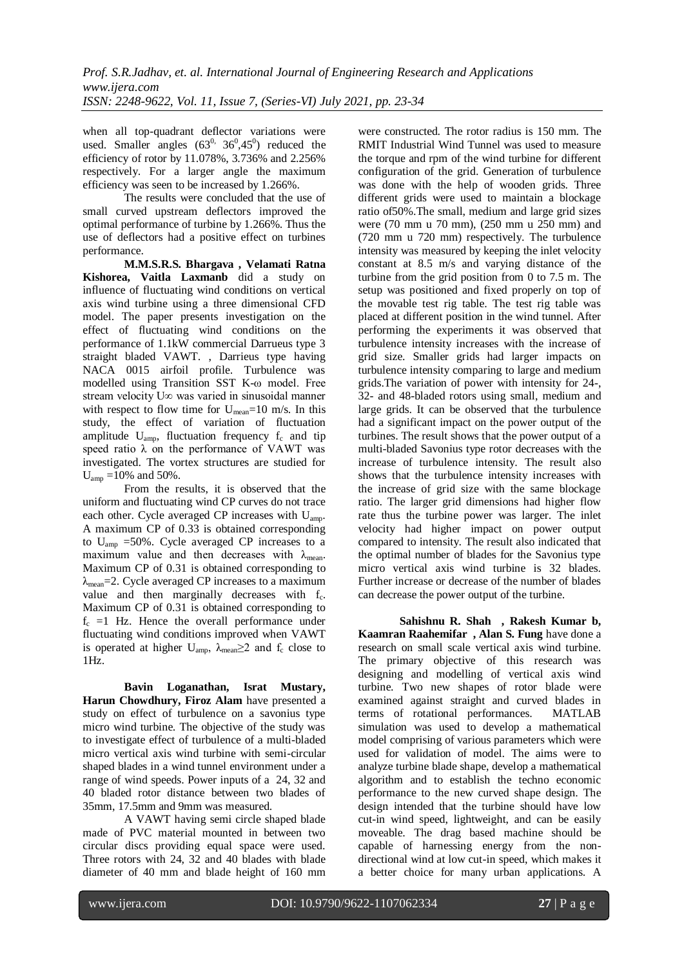when all top-quadrant deflector variations were used. Smaller angles  $(63^0, 36^0, 45^0)$  reduced the efficiency of rotor by 11.078%, 3.736% and 2.256% respectively. For a larger angle the maximum efficiency was seen to be increased by 1.266%.

The results were concluded that the use of small curved upstream deflectors improved the optimal performance of turbine by 1.266%. Thus the use of deflectors had a positive effect on turbines performance.

**M.M.S.R.S. Bhargava , Velamati Ratna Kishorea, Vaitla Laxmanb** did a study on influence of fluctuating wind conditions on vertical axis wind turbine using a three dimensional CFD model. The paper presents investigation on the effect of fluctuating wind conditions on the performance of 1.1kW commercial Darrueus type 3 straight bladed VAWT. , Darrieus type having NACA 0015 airfoil profile. Turbulence was modelled using Transition SST K-ω model. Free stream velocity U∞ was varied in sinusoidal manner with respect to flow time for  $U_{\text{mean}}=10$  m/s. In this study, the effect of variation of fluctuation amplitude  $U_{\text{amp}}$ , fluctuation frequency  $f_c$  and tip speed ratio  $\lambda$  on the performance of VAWT was investigated. The vortex structures are studied for  $U_{\text{amp}} = 10\%$  and 50%.

From the results, it is observed that the uniform and fluctuating wind CP curves do not trace each other. Cycle averaged CP increases with Uamp. A maximum CP of 0.33 is obtained corresponding to Uamp =50%. Cycle averaged CP increases to a maximum value and then decreases with  $\lambda_{\text{mean}}$ . Maximum CP of 0.31 is obtained corresponding to  $\lambda_{\text{mean}} = 2$ . Cycle averaged CP increases to a maximum value and then marginally decreases with  $f_c$ . Maximum CP of 0.31 is obtained corresponding to  $f_c$  =1 Hz. Hence the overall performance under fluctuating wind conditions improved when VAWT is operated at higher U<sub>amp</sub>,  $\lambda_{\text{mean}} \geq 2$  and  $f_c$  close to 1Hz.

**Bavin Loganathan, Israt Mustary, Harun Chowdhury, Firoz Alam** have presented a study on effect of turbulence on a savonius type micro wind turbine. The objective of the study was to investigate effect of turbulence of a multi-bladed micro vertical axis wind turbine with semi-circular shaped blades in a wind tunnel environment under a range of wind speeds. Power inputs of a 24, 32 and 40 bladed rotor distance between two blades of 35mm, 17.5mm and 9mm was measured.

A VAWT having semi circle shaped blade made of PVC material mounted in between two circular discs providing equal space were used. Three rotors with 24, 32 and 40 blades with blade diameter of 40 mm and blade height of 160 mm were constructed. The rotor radius is 150 mm. The RMIT Industrial Wind Tunnel was used to measure the torque and rpm of the wind turbine for different configuration of the grid. Generation of turbulence was done with the help of wooden grids. Three different grids were used to maintain a blockage ratio of50%.The small, medium and large grid sizes were (70 mm u 70 mm), (250 mm u 250 mm) and (720 mm u 720 mm) respectively. The turbulence intensity was measured by keeping the inlet velocity constant at 8.5 m/s and varying distance of the turbine from the grid position from 0 to 7.5 m. The setup was positioned and fixed properly on top of the movable test rig table. The test rig table was placed at different position in the wind tunnel. After performing the experiments it was observed that turbulence intensity increases with the increase of grid size. Smaller grids had larger impacts on turbulence intensity comparing to large and medium grids.The variation of power with intensity for 24-, 32- and 48-bladed rotors using small, medium and large grids. It can be observed that the turbulence had a significant impact on the power output of the turbines. The result shows that the power output of a multi-bladed Savonius type rotor decreases with the increase of turbulence intensity. The result also shows that the turbulence intensity increases with the increase of grid size with the same blockage ratio. The larger grid dimensions had higher flow rate thus the turbine power was larger. The inlet velocity had higher impact on power output compared to intensity. The result also indicated that the optimal number of blades for the Savonius type micro vertical axis wind turbine is 32 blades. Further increase or decrease of the number of blades can decrease the power output of the turbine.

**Sahishnu R. Shah , Rakesh Kumar b, Kaamran Raahemifar , Alan S. Fung** have done a research on small scale vertical axis wind turbine. The primary objective of this research was designing and modelling of vertical axis wind turbine. Two new shapes of rotor blade were examined against straight and curved blades in terms of rotational performances. MATLAB simulation was used to develop a mathematical model comprising of various parameters which were used for validation of model. The aims were to analyze turbine blade shape, develop a mathematical algorithm and to establish the techno economic performance to the new curved shape design. The design intended that the turbine should have low cut-in wind speed, lightweight, and can be easily moveable. The drag based machine should be capable of harnessing energy from the nondirectional wind at low cut-in speed, which makes it a better choice for many urban applications. A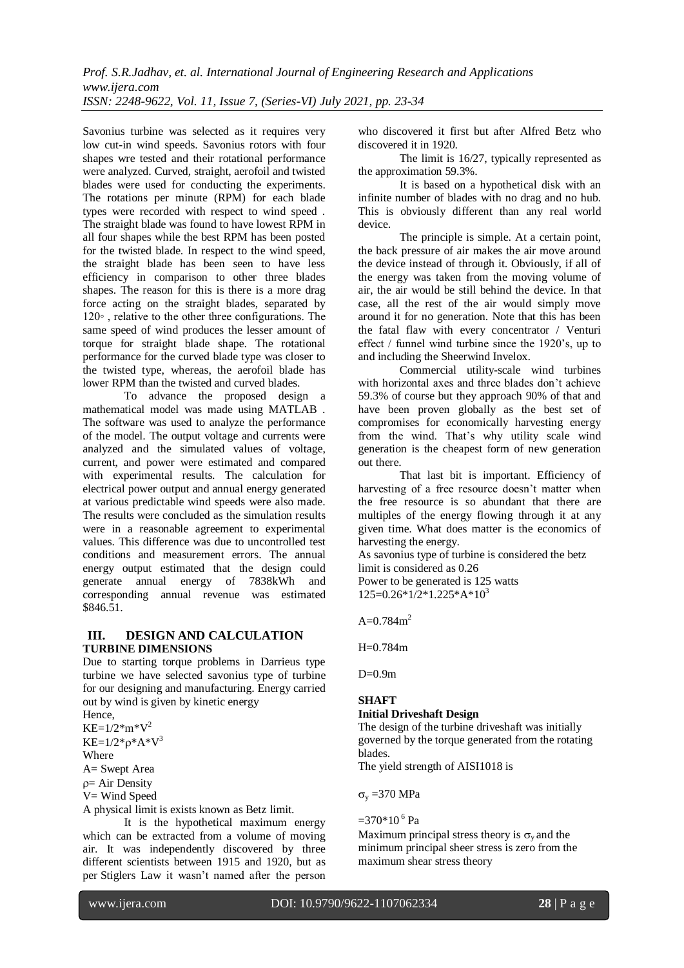Savonius turbine was selected as it requires very low cut-in wind speeds. Savonius rotors with four shapes wre tested and their rotational performance were analyzed. Curved, straight, aerofoil and twisted blades were used for conducting the experiments. The rotations per minute (RPM) for each blade types were recorded with respect to wind speed . The straight blade was found to have lowest RPM in all four shapes while the best RPM has been posted for the twisted blade. In respect to the wind speed, the straight blade has been seen to have less efficiency in comparison to other three blades shapes. The reason for this is there is a more drag force acting on the straight blades, separated by 120◦ , relative to the other three configurations. The same speed of wind produces the lesser amount of torque for straight blade shape. The rotational performance for the curved blade type was closer to the twisted type, whereas, the aerofoil blade has lower RPM than the twisted and curved blades.

To advance the proposed design a mathematical model was made using MATLAB . The software was used to analyze the performance of the model. The output voltage and currents were analyzed and the simulated values of voltage, current, and power were estimated and compared with experimental results. The calculation for electrical power output and annual energy generated at various predictable wind speeds were also made. The results were concluded as the simulation results were in a reasonable agreement to experimental values. This difference was due to uncontrolled test conditions and measurement errors. The annual energy output estimated that the design could generate annual energy of 7838kWh and corresponding annual revenue was estimated \$846.51.

## **III. DESIGN AND CALCULATION TURBINE DIMENSIONS**

Due to starting torque problems in Darrieus type turbine we have selected savonius type of turbine for our designing and manufacturing. Energy carried out by wind is given by kinetic energy

Hence,  $KE=1/2$ \*m\* $V^2$  $KE=1/2*_{0}*A*V^{3}$ Where A= Swept Area

 $p = Air Density$ 

V= Wind Speed

A physical limit is exists known as Betz limit.

It is the hypothetical maximum energy which can be extracted from a volume of moving air. It was independently discovered by three different scientists between 1915 and 1920, but as per Stiglers Law it wasn't named after the person who discovered it first but after Alfred Betz who discovered it in 1920.

The limit is 16/27, typically represented as the approximation 59.3%.

It is based on a hypothetical disk with an infinite number of blades with no drag and no hub. This is obviously different than any real world device.

The principle is simple. At a certain point, the back pressure of air makes the air move around the device instead of through it. Obviously, if all of the energy was taken from the moving volume of air, the air would be still behind the device. In that case, all the rest of the air would simply move around it for no generation. Note that this has been the fatal flaw with every concentrator / Venturi effect / funnel wind turbine since the 1920's, up to and including the Sheerwind Invelox.

Commercial utility-scale wind turbines with horizontal axes and three blades don't achieve 59.3% of course but they approach 90% of that and have been proven globally as the best set of compromises for economically harvesting energy from the wind. That's why utility scale wind generation is the cheapest form of new generation out there.

That last bit is important. Efficiency of harvesting of a free resource doesn't matter when the free resource is so abundant that there are multiples of the energy flowing through it at any given time. What does matter is the economics of harvesting the energy.

As savonius type of turbine is considered the betz limit is considered as 0.26 Power to be generated is 125 watts

 $125=0.26*1/2*1.225*A*10<sup>3</sup>$ 

A= $0.784$ m<sup>2</sup>

H=0.784m

 $D=0.9m$ 

# **SHAFT**

# **Initial Driveshaft Design**

The design of the turbine driveshaft was initially governed by the torque generated from the rotating blades.

The yield strength of AISI1018 is

 $\sigma_v = 370 \text{ MPa}$ 

# $=$ 370\*10<sup>6</sup> Pa

Maximum principal stress theory is  $\sigma_v$  and the minimum principal sheer stress is zero from the maximum shear stress theory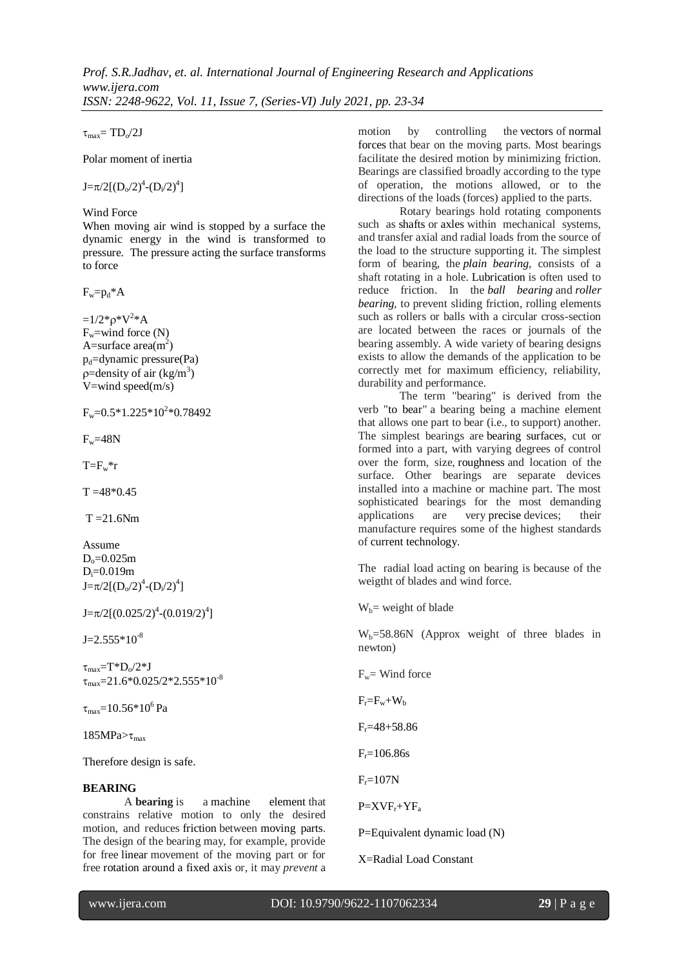$\tau_{\text{max}} = TD\sqrt{2J}$ 

Polar moment of inertia

 $J = \pi/2[(D_0/2)^4 - (D_i/2)^4]$ 

Wind Force

When moving air wind is stopped by a surface the dynamic energy in the wind is transformed to pressure. The pressure acting the surface transforms to force

 $F_w = p_d * A$ 

 $=1/2$ \* $\rho$ \* $V^2$ \*A  $F_w=$ wind force  $(N)$ A=surface  $area(m^2)$  $p_d$ =dynamic pressure(Pa)  $p =$ density of air (kg/m<sup>3</sup>) V=wind speed $(m/s)$ 

 $F_w = 0.5 * 1.225 * 10^2 * 0.78492$ 

 $F_w=48N$ 

 $T=F_w*r$ 

 $T = 48*0.45$ 

 $T = 21.6$ Nm

Assume  $D_0 = 0.025m$  $D_i = 0.019m$  $J = \pi/2[(D_0/2)^4 - (D_i/2)^4]$ 

 $J = \pi/2[(0.025/2)^4 - (0.019/2)^4]$ 

 $J=2.555*10^{-8}$ 

 $\tau_{\rm max} = T^*D_0/2^*J$  $\tau_{\text{max}}$ =21.6\*0.025/2\*2.555\*10<sup>-8</sup>

 $\tau_{\text{max}}$ =10.56\*10<sup>6</sup>Pa

185MPa $>\tau_{\text{max}}$ 

Therefore design is safe.

## **BEARING**

A **bearing** is a machine element that constrains relative motion to only the desired motion, and reduces friction between moving parts. The design of the bearing may, for example, provide for free linear movement of the moving part or for free rotation around a fixed axis or, it may *prevent* a motion by controlling the vectors of normal forces that bear on the moving parts. Most bearings facilitate the desired motion by minimizing friction. Bearings are classified broadly according to the type of operation, the motions allowed, or to the directions of the loads (forces) applied to the parts.

Rotary bearings hold rotating components such as shafts or axles within mechanical systems, and transfer axial and radial loads from the source of the load to the structure supporting it. The simplest form of bearing, the *plain bearing*, consists of a shaft rotating in a hole. Lubrication is often used to reduce friction. In the *ball bearing* and *roller bearing*, to prevent sliding friction, rolling elements such as rollers or balls with a circular cross-section are located between the races or journals of the bearing assembly. A wide variety of bearing designs exists to allow the demands of the application to be correctly met for maximum efficiency, reliability, durability and performance.

The term "bearing" is derived from the verb "to bear" a bearing being a machine element that allows one part to bear (i.e., to support) another. The simplest bearings are bearing surfaces, cut or formed into a part, with varying degrees of control over the form, size, roughness and location of the surface. Other bearings are separate devices installed into a machine or machine part. The most sophisticated bearings for the most demanding applications are very precise devices; their manufacture requires some of the highest standards of current technology.

The radial load acting on bearing is because of the weigtht of blades and wind force.

 $W_b$  = weight of blade

 $W_b = 58.86N$  (Approx weight of three blades in newton)

 $F_w =$  Wind force

 $F = F_w + W_b$ 

 $F_r = 48 + 58.86$ 

 $F = 106.86s$ 

 $F_r = 107N$ 

 $P=XVF_r+YF_a$ 

P=Equivalent dynamic load (N)

X=Radial Load Constant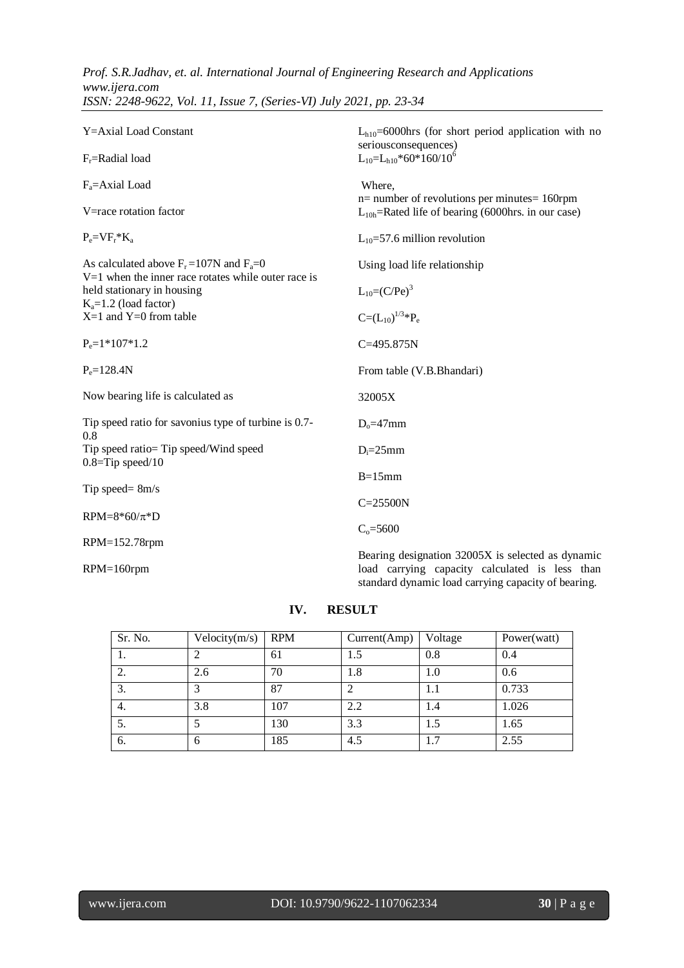| Y=Axial Load Constant                                                                                   | $L_{h10} = 6000$ hrs (for short period application with no<br>seriousconsequences)<br>$L_{10} = L_{h10} * 60 * 160 / 10^6$                                 |  |  |
|---------------------------------------------------------------------------------------------------------|------------------------------------------------------------------------------------------------------------------------------------------------------------|--|--|
| $F_r$ =Radial load                                                                                      |                                                                                                                                                            |  |  |
| $F_a = Axial$ Load                                                                                      | Where,<br>$n=$ number of revolutions per minutes = 160rpm                                                                                                  |  |  |
| V=race rotation factor                                                                                  | $L_{10h}$ =Rated life of bearing (6000hrs. in our case)                                                                                                    |  |  |
| $P_e = V F_r * K_a$                                                                                     | $L_{10} = 57.6$ million revolution                                                                                                                         |  |  |
| As calculated above $F_r = 107N$ and $F_a = 0$<br>$V=1$ when the inner race rotates while outer race is | Using load life relationship                                                                                                                               |  |  |
| held stationary in housing<br>$K_a=1.2$ (load factor)                                                   | $L_{10} = (C/Pe)^3$                                                                                                                                        |  |  |
| $X=1$ and $Y=0$ from table                                                                              | $C=(L_{10})^{1/3}P_e$                                                                                                                                      |  |  |
| $P_e = 1*107*1.2$                                                                                       | $C = 495.875N$                                                                                                                                             |  |  |
| $P_e = 128.4N$                                                                                          | From table (V.B.Bhandari)                                                                                                                                  |  |  |
| Now bearing life is calculated as                                                                       | 32005X                                                                                                                                                     |  |  |
| Tip speed ratio for savonius type of turbine is 0.7-<br>0.8                                             | $Do=47mm$                                                                                                                                                  |  |  |
| Tip speed ratio= Tip speed/Wind speed<br>$0.8 =$ Tip speed/10                                           | $D_i = 25$ mm                                                                                                                                              |  |  |
|                                                                                                         | $B=15$ mm                                                                                                                                                  |  |  |
| Tip speed= $8m/s$                                                                                       | $C = 25500N$                                                                                                                                               |  |  |
| RPM= $8*60/\pi*D$                                                                                       | $C_0 = 5600$                                                                                                                                               |  |  |
| RPM=152.78rpm                                                                                           |                                                                                                                                                            |  |  |
| $RPM=160$ rpm                                                                                           | Bearing designation 32005X is selected as dynamic<br>load carrying capacity calculated is less than<br>standard dynamic load carrying capacity of bearing. |  |  |

#### **IV. RESULT**

| Sr. No. | Velocity(m/s) | <b>RPM</b> | Current(Amp) | Voltage | Power(watt) |
|---------|---------------|------------|--------------|---------|-------------|
| 1.      |               | 61         | 1.5          | 0.8     | 0.4         |
| ۷.      | 2.6           | 70         | 1.8          | 1.0     | 0.6         |
| ⌒<br>Ć. |               | 87         |              | 1.1     | 0.733       |
| 4.      | 3.8           | 107        | 2.2          | 1.4     | 1.026       |
| C.      |               | 130        | 3.3          | 1.5     | 1.65        |
| 6.      | 6             | 185        | 4.5          | 1.7     | 2.55        |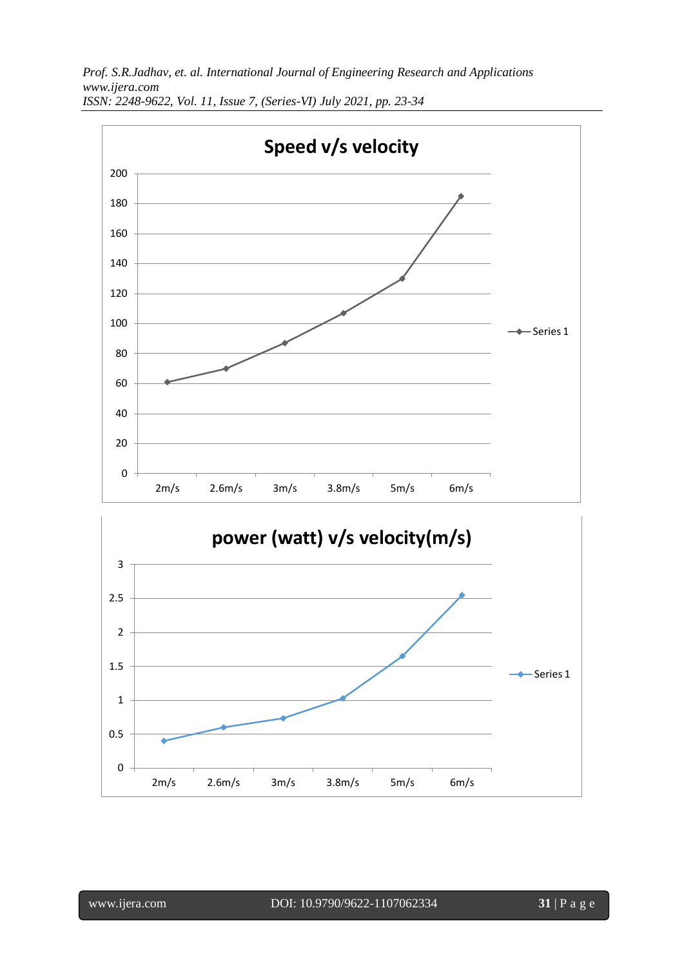

l

www.ijera.com DOI: 10.9790/9622-1107062334 **31** | P a g e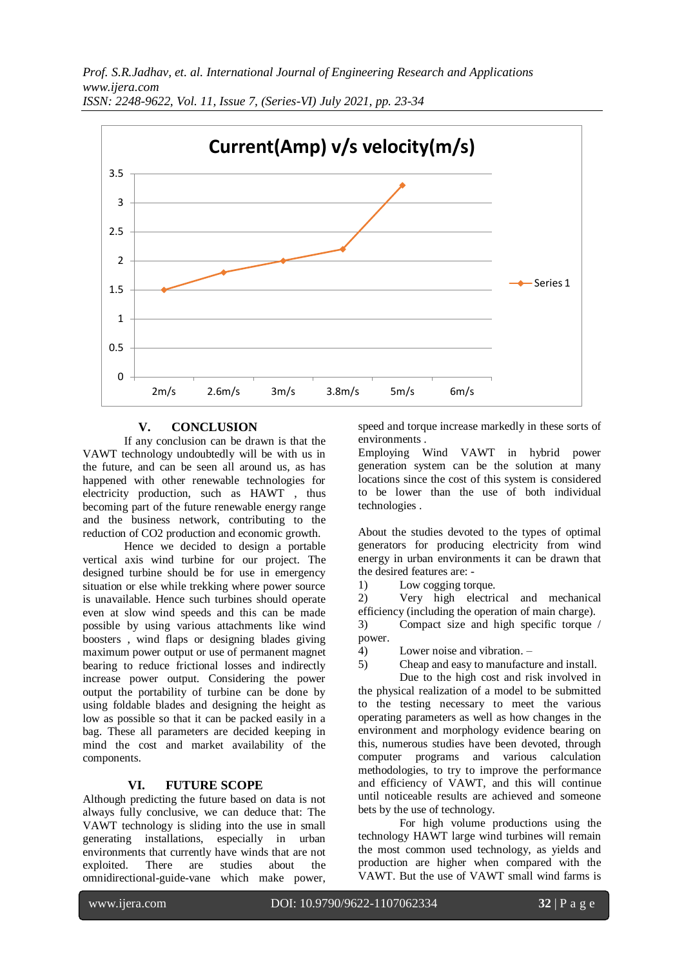

## **V. CONCLUSION**

If any conclusion can be drawn is that the VAWT technology undoubtedly will be with us in the future, and can be seen all around us, as has happened with other renewable technologies for electricity production, such as HAWT , thus becoming part of the future renewable energy range and the business network, contributing to the reduction of CO2 production and economic growth.

Hence we decided to design a portable vertical axis wind turbine for our project. The designed turbine should be for use in emergency situation or else while trekking where power source is unavailable. Hence such turbines should operate even at slow wind speeds and this can be made possible by using various attachments like wind boosters , wind flaps or designing blades giving maximum power output or use of permanent magnet bearing to reduce frictional losses and indirectly increase power output. Considering the power output the portability of turbine can be done by using foldable blades and designing the height as low as possible so that it can be packed easily in a bag. These all parameters are decided keeping in mind the cost and market availability of the components.

## **VI. FUTURE SCOPE**

Although predicting the future based on data is not always fully conclusive, we can deduce that: The VAWT technology is sliding into the use in small generating installations, especially in urban environments that currently have winds that are not exploited. There are studies about the omnidirectional-guide-vane which make power,

speed and torque increase markedly in these sorts of environments .

Employing Wind VAWT in hybrid power generation system can be the solution at many locations since the cost of this system is considered to be lower than the use of both individual technologies .

About the studies devoted to the types of optimal generators for producing electricity from wind energy in urban environments it can be drawn that the desired features are: -

1) Low cogging torque.

2) Very high electrical and mechanical efficiency (including the operation of main charge).

3) Compact size and high specific torque / power.

4) Lower noise and vibration. –

5) Cheap and easy to manufacture and install.

Due to the high cost and risk involved in the physical realization of a model to be submitted to the testing necessary to meet the various operating parameters as well as how changes in the environment and morphology evidence bearing on this, numerous studies have been devoted, through computer programs and various calculation methodologies, to try to improve the performance and efficiency of VAWT, and this will continue until noticeable results are achieved and someone bets by the use of technology.

For high volume productions using the technology HAWT large wind turbines will remain the most common used technology, as yields and production are higher when compared with the VAWT. But the use of VAWT small wind farms is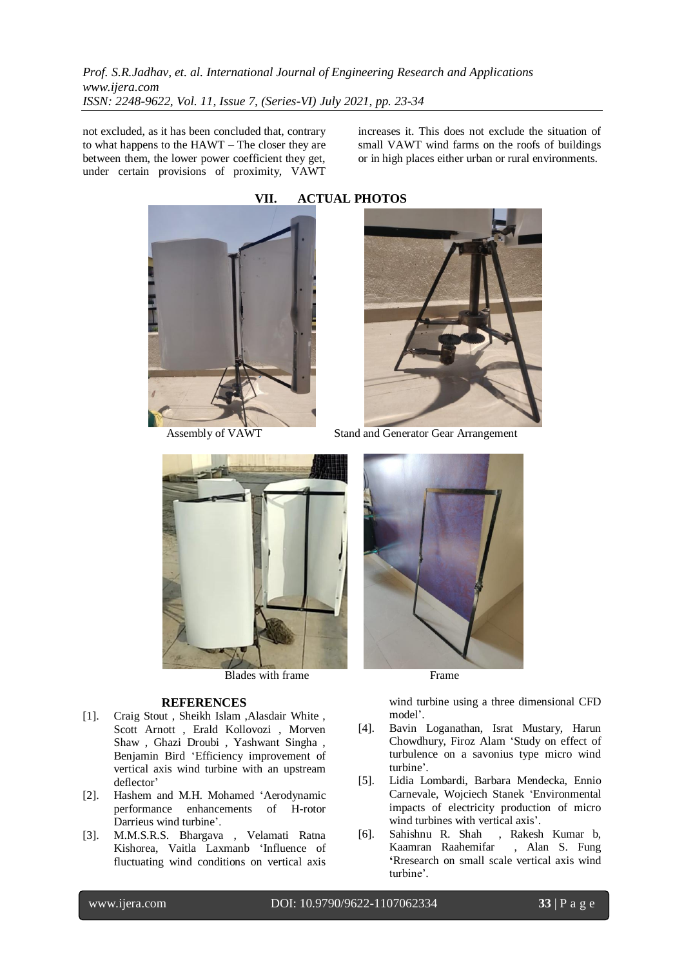not excluded, as it has been concluded that, contrary to what happens to the HAWT – The closer they are between them, the lower power coefficient they get, under certain provisions of proximity, VAWT increases it. This does not exclude the situation of small VAWT wind farms on the roofs of buildings or in high places either urban or rural environments.





Blades with frame Frame

#### **REFERENCES**

- [1]. Craig Stout , Sheikh Islam ,Alasdair White , Scott Arnott , Erald Kollovozi , Morven Shaw , Ghazi Droubi , Yashwant Singha , Benjamin Bird 'Efficiency improvement of vertical axis wind turbine with an upstream deflector'
- [2]. Hashem and M.H. Mohamed 'Aerodynamic performance enhancements of H-rotor Darrieus wind turbine'.
- [3]. M.M.S.R.S. Bhargava , Velamati Ratna Kishorea, Vaitla Laxmanb 'Influence of fluctuating wind conditions on vertical axis



Assembly of VAWT Stand and Generator Gear Arrangement



wind turbine using a three dimensional CFD model'.

- [4]. Bavin Loganathan, Israt Mustary, Harun Chowdhury, Firoz Alam 'Study on effect of turbulence on a savonius type micro wind turbine'.
- [5]. Lidia Lombardi, Barbara Mendecka, Ennio Carnevale, Wojciech Stanek 'Environmental impacts of electricity production of micro wind turbines with vertical axis'.
- [6]. Sahishnu R. Shah , Rakesh Kumar b, Kaamran Raahemifar , Alan S. Fung **'**Rresearch on small scale vertical axis wind turbine'.